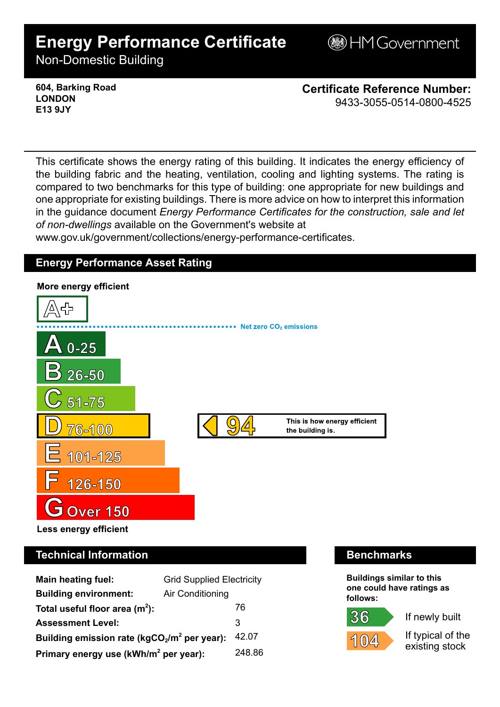# **Energy Performance Certificate**

**BHM Government** 

Non-Domestic Building

**604, Barking Road LONDON E13 9JY**

**Certificate Reference Number:** 9433-3055-0514-0800-4525

This certificate shows the energy rating of this building. It indicates the energy efficiency of the building fabric and the heating, ventilation, cooling and lighting systems. The rating is compared to two benchmarks for this type of building: one appropriate for new buildings and one appropriate for existing buildings. There is more advice on how to interpret this information in the guidance document *Energy Performance Certificates for the construction, sale and let of non-dwellings* available on the Government's website at

www.gov.uk/government/collections/energy-performance-certificates.

## **Energy Performance Asset Rating**



# **Technical Information Benchmarks**

| <b>Main heating fuel:</b>                         | <b>Grid Supplied Electricity</b> |        |
|---------------------------------------------------|----------------------------------|--------|
| <b>Building environment:</b>                      | Air Conditioning                 |        |
| Total useful floor area $(m2)$ :                  |                                  | 76     |
| <b>Assessment Level:</b>                          |                                  | 3      |
| Building emission rate ( $kgCO2/m2$ per year):    |                                  | 42.07  |
| Primary energy use (kWh/m <sup>2</sup> per year): |                                  | 248.86 |

**Buildings similar to this one could have ratings as follows:**

If newly built



If typical of the existing stock